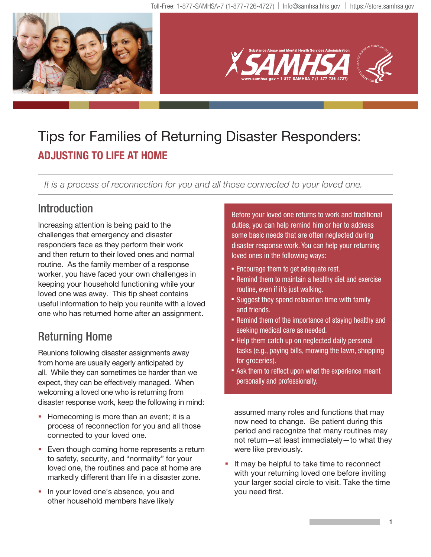

# Tips for Families of Returning Disaster Responders: **ADJUSTING TO LIFE AT HOME**

It is a process of reconnection for you and all those connected to your loved one.

## **Introduction**

Increasing attention is being paid to the challenges that emergency and disaster responders face as they perform their work and then return to their loved ones and normal routine. As the family member of a response worker, you have faced your own challenges in keeping your household functioning while your loved one was away. This tip sheet contains useful information to help you reunite with a loved one who has returned home after an assignment.

# Returning Home

Reunions following disaster assignments away from home are usually eagerly anticipated by all. While they can sometimes be harder than we expect, they can be effectively managed. When welcoming a loved one who is returning from disaster response work, keep the following in mind:

- Homecoming is more than an event; it is a process of reconnection for you and all those connected to your loved one.
- Even though coming home represents a return to safety, security, and "normality" for your loved one, the routines and pace at home are markedly different than life in a disaster zone.
- In your loved one's absence, you and other household members have likely

Before your loved one returns to work and traditional duties, you can help remind him or her to address some basic needs that are often neglected during disaster response work. You can help your returning loved ones in the following ways:

- **Encourage them to get adequate rest.**
- Remind them to maintain a healthy diet and exercise routine, even if it's just walking.
- **Suggest they spend relaxation time with family** and friends.
- Remind them of the importance of staying healthy and seeking medical care as needed.
- Help them catch up on neglected daily personal tasks (e.g., paying bills, mowing the lawn, shopping for groceries).
- **Ask them to reflect upon what the experience meant** personally and professionally.

assumed many roles and functions that may now need to change. Be patient during this period and recognize that many routines may not return—at least immediately—to what they were like previously.

 It may be helpful to take time to reconnect with your returning loved one before inviting your larger social circle to visit. Take the time you need first.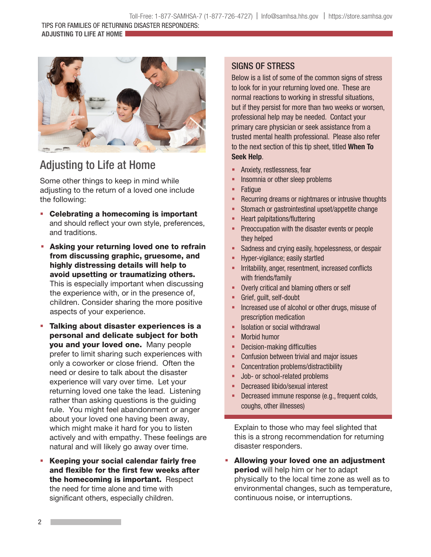**ADJUSTING TO LIFE AT HOME** 



## Adjusting to Life at Home

Some other things to keep in mind while adjusting to the return of a loved one include the following:

- Celebrating a homecoming is important and should reflect your own style, preferences, and traditions.
- **Asking your returning loved one to refrain** from discussing graphic, gruesome, and highly distressing details will help to avoid upsetting or traumatizing others. This is especially important when discussing the experience with, or in the presence of, children. Consider sharing the more positive aspects of your experience.
- Talking about disaster experiences is a personal and delicate subject for both you and your loved one. Many people prefer to limit sharing such experiences with only a coworker or close friend. Often the need or desire to talk about the disaster experience will vary over time. Let your returning loved one take the lead. Listening rather than asking questions is the guiding rule. You might feel abandonment or anger about your loved one having been away, which might make it hard for you to listen actively and with empathy. These feelings are natural and will likely go away over time.
- Keeping your social calendar fairly free and flexible for the first few weeks after the homecoming is important. Respect the need for time alone and time with significant others, especially children.

### SIGNS OF STRESS

Below is a list of some of the common signs of stress to look for in your returning loved one. These are normal reactions to working in stressful situations, but if they persist for more than two weeks or worsen, professional help may be needed. Contact your primary care physician or seek assistance from a trusted mental health professional. Please also refer to the next section of this tip sheet, titled **When To Seek Help**.

- Anxiety, restlessness, fear
- Insomnia or other sleep problems
- **Fatique**
- Recurring dreams or nightmares or intrusive thoughts
- **Stomach or gastrointestinal upset/appetite change**
- **-** Heart palpitations/fluttering
- Preoccupation with the disaster events or people they helped
- **Sadness and crying easily, hopelessness, or despair**
- Hyper-vigilance; easily startled
- Irritability, anger, resentment, increased conflicts with friends/family
- **-** Overly critical and blaming others or self
- Grief, guilt, self-doubt
- **Increased use of alcohol or other drugs, misuse of** prescription medication
- **E** Isolation or social withdrawal
- Morbid humor
- Decision-making difficulties
- Confusion between trivial and major issues
- **-** Concentration problems/distractibility
- **Job- or school-related problems**
- Decreased libido/sexual interest
- Decreased immune response (e.g., frequent colds, coughs, other illnesses)

Explain to those who may feel slighted that this is a strong recommendation for returning disaster responders.

 Allowing your loved one an adjustment period will help him or her to adapt physically to the local time zone as well as to environmental changes, such as temperature, continuous noise, or interruptions.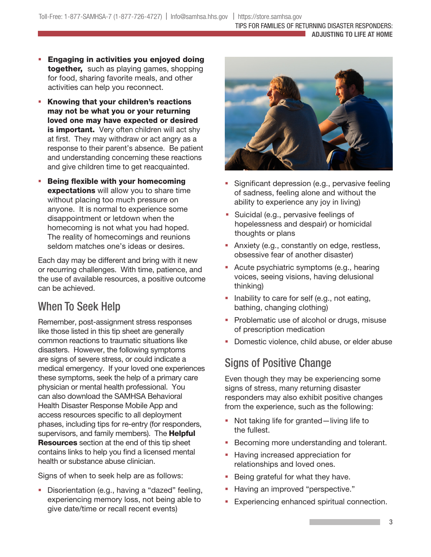- **Engaging in activities you enjoyed doing** together, such as playing games, shopping for food, sharing favorite meals, and other activities can help you reconnect.
- **Knowing that your children's reactions** may not be what you or your returning loved one may have expected or desired is important. Very often children will act shy at first. They may withdraw or act angry as a response to their parent's absence. Be patient and understanding concerning these reactions and give children time to get reacquainted.
- **Being flexible with your homecoming** expectations will allow you to share time without placing too much pressure on anyone. It is normal to experience some disappointment or letdown when the homecoming is not what you had hoped. The reality of homecomings and reunions seldom matches one's ideas or desires.

Each day may be different and bring with it new or recurring challenges. With time, patience, and the use of available resources, a positive outcome can be achieved.

### When To Seek Help

Remember, post-assignment stress responses like those listed in this tip sheet are generally common reactions to traumatic situations like disasters. However, the following symptoms are signs of severe stress, or could indicate a medical emergency. If your loved one experiences these symptoms, seek the help of a primary care physician or mental health professional. You can also download the SAMHSA Behavioral Health Disaster Response Mobile App and access resources specific to all deployment phases, including tips for re-entry (for responders, supervisors, and family members). The **Helpful Resources** section at the end of this tip sheet contains links to help you find a licensed mental health or substance abuse clinician.

Signs of when to seek help are as follows:

**Disorientation (e.g., having a "dazed" feeling,** experiencing memory loss, not being able to give date/time or recall recent events)



- Significant depression (e.g., pervasive feeling of sadness, feeling alone and without the ability to experience any joy in living)
- **Suicidal (e.g., pervasive feelings of** hopelessness and despair) or homicidal thoughts or plans
- **Anxiety (e.g., constantly on edge, restless,** obsessive fear of another disaster)
- Acute psychiatric symptoms (e.g., hearing voices, seeing visions, having delusional thinking)
- Inability to care for self (e.g., not eating, bathing, changing clothing)
- Problematic use of alcohol or drugs, misuse of prescription medication
- Domestic violence, child abuse, or elder abuse

### Signs of Positive Change

Even though they may be experiencing some signs of stress, many returning disaster responders may also exhibit positive changes from the experience, such as the following:

- Not taking life for granted—living life to the fullest.
- **Becoming more understanding and tolerant.**
- **Having increased appreciation for** relationships and loved ones.
- **Being grateful for what they have.**
- **Having an improved "perspective."**
- **Experiencing enhanced spiritual connection.**